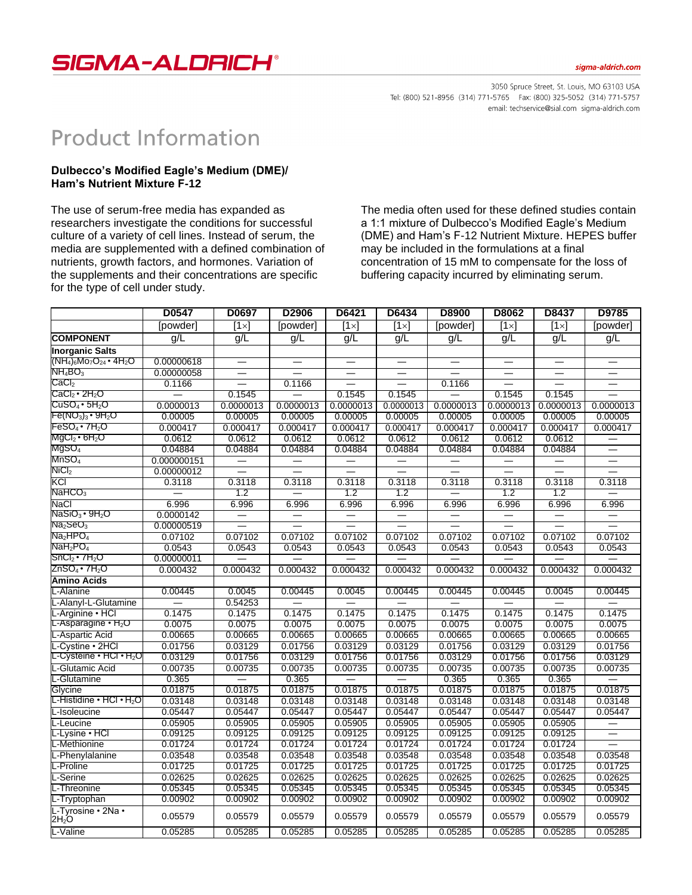

3050 Spruce Street, St. Louis, MO 63103 USA Tel: (800) 521-8956 (314) 771-5765 Fax: (800) 325-5052 (314) 771-5757 email: techservice@sial.com sigma-aldrich.com

## **Product Information**

## **Dulbecco's Modified Eagle's Medium (DME)/ Ham's Nutrient Mixture F-12**

The use of serum-free media has expanded as researchers investigate the conditions for successful culture of a variety of cell lines. Instead of serum, the media are supplemented with a defined combination of nutrients, growth factors, and hormones. Variation of the supplements and their concentrations are specific for the type of cell under study.

The media often used for these defined studies contain a 1:1 mixture of Dulbecco's Modified Eagle's Medium (DME) and Ham's F-12 Nutrient Mixture. HEPES buffer may be included in the formulations at a final concentration of 15 mM to compensate for the loss of buffering capacity incurred by eliminating serum.

|                                                                    | D0547       | D0697                    | D2906     | D6421        | D6434                    | D8900     | D8062        | D8437                    | D9785                    |
|--------------------------------------------------------------------|-------------|--------------------------|-----------|--------------|--------------------------|-----------|--------------|--------------------------|--------------------------|
|                                                                    | [powder]    | $[1 \times]$             | [powder]  | $[1 \times]$ | $[1 \times]$             | [powder]  | $[1 \times]$ | [1 $\times$ ]            | [powder]                 |
| <b>COMPONENT</b>                                                   | q/L         | g/L                      | g/L       | g/L          | g/L                      | g/L       | g/L          | g/L                      | g/L                      |
| <b>Inorganic Salts</b>                                             |             |                          |           |              |                          |           |              |                          |                          |
| $(\text{NH}_4)_6\text{Mo}_7\text{O}_{24}\cdot 4\text{H}_2\text{O}$ | 0.00000618  |                          |           |              |                          |           |              |                          |                          |
| $NH_4BO_3$                                                         | 0.00000058  |                          |           |              |                          |           |              |                          | $\overline{\phantom{0}}$ |
| $\mathsf{CaCl}_2$                                                  | 0.1166      |                          | 0.1166    |              |                          | 0.1166    |              |                          | $\overline{\phantom{0}}$ |
| $\text{CaCl}_{2}$ • 2H $_{2}$ O                                    |             | 0.1545                   |           | 0.1545       | 0.1545                   |           | 0.1545       | 0.1545                   |                          |
| CuSO4∙5H <sub>2</sub> O                                            | 0.0000013   | 0.0000013                | 0.0000013 | 0.0000013    | 0.0000013                | 0.0000013 | 0.0000013    | 0.0000013                | 0.0000013                |
| $\mathsf{Fe}(\mathsf{NO}_3)_3\bm{\cdot}\mathsf{9H}_2\mathsf{O}$    | 0.00005     | 0.00005                  | 0.00005   | 0.00005      | 0.00005                  | 0.00005   | 0.00005      | 0.00005                  | 0.00005                  |
| FeSO4 • 7H2O                                                       | 0.000417    | 0.000417                 | 0.000417  | 0.000417     | 0.000417                 | 0.000417  | 0.000417     | 0.000417                 | 0.000417                 |
| MgCl <sub>2</sub> • 6H <sub>2</sub> O                              | 0.0612      | 0.0612                   | 0.0612    | 0.0612       | 0.0612                   | 0.0612    | 0.0612       | 0.0612                   |                          |
| $MgSO_4$                                                           | 0.04884     | 0.04884                  | 0.04884   | 0.04884      | 0.04884                  | 0.04884   | 0.04884      | 0.04884                  | $\overline{\phantom{0}}$ |
| MnSO <sub>4</sub>                                                  | 0.000000151 |                          |           |              |                          |           |              | $\overline{\phantom{0}}$ | $\overline{\phantom{0}}$ |
| $\rm NiCl_2$                                                       | 0.00000012  | $\overline{\phantom{0}}$ |           |              | $\overline{\phantom{0}}$ |           |              | $\overline{\phantom{0}}$ |                          |
| KCI                                                                | 0.3118      | 0.3118                   | 0.3118    | 0.3118       | 0.3118                   | 0.3118    | 0.3118       | 0.3118                   | 0.3118                   |
| NAHCO <sub>3</sub>                                                 |             | 1.2                      |           | 1.2          | 1.2                      |           | 1.2          | 1.2                      |                          |
| NaCl                                                               | 6.996       | 6.996                    | 6.996     | 6.996        | 6.996                    | 6.996     | 6.996        | 6.996                    | 6.996                    |
| $\mathsf{NaSiO}_{3}\cdot 9\mathsf{H}_{2}\mathsf{O}$                | 0.0000142   |                          |           |              |                          |           |              |                          |                          |
| Na <sub>2</sub> SeO <sub>3</sub>                                   | 0.00000519  |                          |           |              |                          |           |              |                          |                          |
| Na <sub>2</sub> HPO <sub>4</sub>                                   | 0.07102     | 0.07102                  | 0.07102   | 0.07102      | 0.07102                  | 0.07102   | 0.07102      | 0.07102                  | 0.07102                  |
| NaH <sub>2</sub> PO <sub>4</sub>                                   | 0.0543      | 0.0543                   | 0.0543    | 0.0543       | 0.0543                   | 0.0543    | 0.0543       | 0.0543                   | 0.0543                   |
| $\text{SnCl}_2$ • 7H <sub>2</sub> O                                | 0.00000011  |                          |           |              |                          |           |              |                          |                          |
| ZnSO4∙7H2O                                                         | 0.000432    | 0.000432                 | 0.000432  | 0.000432     | 0.000432                 | 0.000432  | 0.000432     | 0.000432                 | 0.000432                 |
| Amino Acids                                                        |             |                          |           |              |                          |           |              |                          |                          |
| -Alanine                                                           | 0.00445     | 0.0045                   | 0.00445   | 0.0045       | 0.00445                  | 0.00445   | 0.00445      | 0.0045                   | 0.00445                  |
| L-Alanyl-L-Glutamine                                               |             | 0.54253                  |           |              |                          |           |              |                          |                          |
| -Arginine • HCI                                                    | 0.1475      | 0.1475                   | 0.1475    | 0.1475       | 0.1475                   | 0.1475    | 0.1475       | 0.1475                   | 0.1475                   |
| L-Asparagine $\cdot$ H <sub>2</sub> O                              | 0.0075      | 0.0075                   | 0.0075    | 0.0075       | 0.0075                   | 0.0075    | 0.0075       | 0.0075                   | 0.0075                   |
| L-Aspartic Acid                                                    | 0.00665     | 0.00665                  | 0.00665   | 0.00665      | 0.00665                  | 0.00665   | 0.00665      | 0.00665                  | 0.00665                  |
| -Cystine · 2HCl                                                    | 0.01756     | 0.03129                  | 0.01756   | 0.03129      | 0.03129                  | 0.01756   | 0.03129      | 0.03129                  | 0.01756                  |
| <sub>-</sub> -Cysteine • HCl • H <sub>2</sub> O                    | 0.03129     | 0.01756                  | 0.03129   | 0.01756      | 0.01756                  | 0.03129   | 0.01756      | 0.01756                  | 0.03129                  |
| -Glutamic Acid                                                     | 0.00735     | 0.00735                  | 0.00735   | 0.00735      | 0.00735                  | 0.00735   | 0.00735      | 0.00735                  | 0.00735                  |
| L-Glutamine                                                        | 0.365       |                          | 0.365     |              |                          | 0.365     | 0.365        | 0.365                    |                          |
| Glycine                                                            | 0.01875     | 0.01875                  | 0.01875   | 0.01875      | 0.01875                  | 0.01875   | 0.01875      | 0.01875                  | 0.01875                  |
| L-Histidine • HCl • H <sub>2</sub> O                               | 0.03148     | 0.03148                  | 0.03148   | 0.03148      | 0.03148                  | 0.03148   | 0.03148      | 0.03148                  | 0.03148                  |
| -Isoleucine                                                        | 0.05447     | 0.05447                  | 0.05447   | 0.05447      | 0.05447                  | 0.05447   | 0.05447      | 0.05447                  | 0.05447                  |
| L-Leucine                                                          | 0.05905     | 0.05905                  | 0.05905   | 0.05905      | 0.05905                  | 0.05905   | 0.05905      | 0.05905                  | $\overline{\phantom{0}}$ |
| Lysine • HCl                                                       | 0.09125     | 0.09125                  | 0.09125   | 0.09125      | 0.09125                  | 0.09125   | 0.09125      | 0.09125                  |                          |
| -Methionine                                                        | 0.01724     | 0.01724                  | 0.01724   | 0.01724      | 0.01724                  | 0.01724   | 0.01724      | 0.01724                  |                          |
| -Phenylalanine                                                     | 0.03548     | 0.03548                  | 0.03548   | 0.03548      | 0.03548                  | 0.03548   | 0.03548      | 0.03548                  | 0.03548                  |
| -Proline                                                           | 0.01725     | 0.01725                  | 0.01725   | 0.01725      | 0.01725                  | 0.01725   | 0.01725      | 0.01725                  | 0.01725                  |
| -Serine                                                            | 0.02625     | 0.02625                  | 0.02625   | 0.02625      | 0.02625                  | 0.02625   | 0.02625      | 0.02625                  | 0.02625                  |
| -Threonine                                                         | 0.05345     | 0.05345                  | 0.05345   | 0.05345      | 0.05345                  | 0.05345   | 0.05345      | 0.05345                  | 0.05345                  |
| -Tryptophan                                                        | 0.00902     | 0.00902                  | 0.00902   | 0.00902      | 0.00902                  | 0.00902   | 0.00902      | 0.00902                  | 0.00902                  |
| L-Tyrosine • 2Na •<br>2H <sub>2</sub> O                            | 0.05579     | 0.05579                  | 0.05579   | 0.05579      | 0.05579                  | 0.05579   | 0.05579      | 0.05579                  | 0.05579                  |
| L-Valine                                                           | 0.05285     | 0.05285                  | 0.05285   | 0.05285      | 0.05285                  | 0.05285   | 0.05285      | 0.05285                  | 0.05285                  |